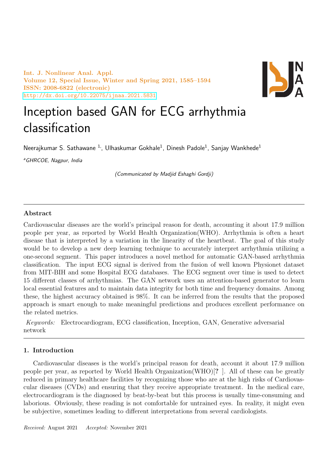Int. J. Nonlinear Anal. Appl. Volume 12, Special Issue, Winter and Spring 2021, 1585–1594 ISSN: 2008-6822 (electronic) <http://dx.doi.org/10.22075/ijnaa.2021.5831>



# Inception based GAN for ECG arrhythmia classification

Neerajkumar S. Sathawane <sup>1,</sup>, Ulhaskumar Gokhale<sup>1</sup>, Dinesh Padole<sup>1</sup>, Sanjay Wankhede<sup>1</sup>

<sup>a</sup>GHRCOE, Nagpur, India

(Communicated by Madjid Eshaghi Gordji)

## Abstract

Cardiovascular diseases are the world's principal reason for death, accounting it about 17.9 million people per year, as reported by World Health Organization(WHO). Arrhythmia is often a heart disease that is interpreted by a variation in the linearity of the heartbeat. The goal of this study would be to develop a new deep learning technique to accurately interpret arrhythmia utilizing a one-second segment. This paper introduces a novel method for automatic GAN-based arrhythmia classification. The input ECG signal is derived from the fusion of well known Physionet dataset from MIT-BIH and some Hospital ECG databases. The ECG segment over time is used to detect 15 different classes of arrhythmias. The GAN network uses an attention-based generator to learn local essential features and to maintain data integrity for both time and frequency domains. Among these, the highest accuracy obtained is 98%. It can be inferred from the results that the proposed approach is smart enough to make meaningful predictions and produces excellent performance on the related metrics.

Keywords: Electrocardiogram, ECG classification, Inception, GAN, Generative adversarial network

## 1. Introduction

Cardiovascular diseases is the world's principal reason for death, account it about 17.9 million people per year, as reported by World Health Organization(WHO)[? ]. All of these can be greatly reduced in primary healthcare facilities by recognizing those who are at the high risks of Cardiovascular diseases (CVDs) and ensuring that they receive appropriate treatment. In the medical care, electrocardiogram is the diagnosed by beat-by-beat but this process is usually time-consuming and laborious. Obviously, these reading is not comfortable for untrained eyes. In reality, it might even be subjective, sometimes leading to different interpretations from several cardiologists.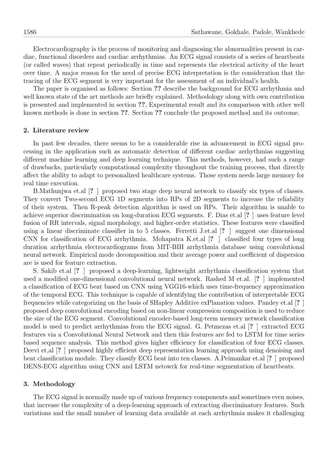Electrocardiography is the process of monitoring and diagnosing the abnormalities present in cardiac, functional disorders and cardiac arrhythmias. An ECG signal consists of a series of heartbeats (or called waves) that repeat periodically in time and represents the electrical activity of the heart over time. A major reason for the need of precise ECG interpretation is the consideration that the tracing of the ECG segment is very important for the assessment of an individual's health.

The paper is organised as follows: Section ?? describe the background for ECG arrhythmia and well known state of the art methods are briefly explained. Methodology along with own contribution is presented and implemented in section ??, Experimental result and its comparison with other well known methods is done in section ??. Section ?? conclude the proposed method and its outcome.

## 2. Literature review

In past few decades, there seems to be a considerable rise in advancement in ECG signal processing in the application such as automatic detection of different cardiac arrhythmias suggesting different machine learning and deep learning technique. This methods, however, had such a range of drawbacks, particularly computational complexity throughout the training process, that directly affect the ability to adapt to personalized healthcare systems. Those system needs large memory for real time execution.

B.Mathunjwa et.al [? ] proposed two stage deep neural network to classify six types of classes. They convert Two-second ECG 1D segments into RPs of 2D segments to increase the reliability of their system. Then R-peak detection algorithm is used on RPs. Their algorithm is unable to achieve superior discrimination on long-duration ECG segments. F. Dias et.al [? ] uses feature level fusion of RR intervals, signal morphology, and higher-order statistics. These features were classified using a linear discriminate classifier in to 5 classes. Ferretti J.et.al [? ] suggest one dimensional CNN for classification of ECG arrhythmia. Mohapatra K.et.al [? ] classified four types of long duration arrhythmia electrocardiograms from MIT-BIH arrhythmia database using convolutional neural network. Empirical mode decomposition and their average power and coefficient of dispersion are is used for feature extraction.

S. Sakib et.al [? ] proposed a deep-learning, lightweight arrhythmia classification system that used a modified one-dimensional convolutional neural network. Rashed M et.al. [? ] implemented a classification of ECG beat based on CNN using VGG16-which uses time-frequency approximation of the temporal ECG. This technique is capable of identifying the contribution of interpretable ECG frequencies while categorizing on the basis of SHapley Additive exPlanation values. Pandey et.al [? ] proposed deep convolutional encoding based on non-linear compression composition is used to reduce the size of the ECG segment. Convolutional encoder-based long-term memory network classification model is used to predict arrhythmias from the ECG signal. G. Petmezas et.al [? ] extracted ECG features via a Convolutional Neural Network and then this features are fed to LSTM for time series based sequence analysis. This method gives higher efficiency for classification of four ECG classes. Deevi et,al [? ] proposed highly efficient deep representation learning approach using denoising and beat classification module. They classify ECG beat into ten classes. A.Peimankar et.al [? ] proposed DENS-ECG algorithm using CNN and LSTM netowrk for real-time segmentation of heartbeats.

#### 3. Methodology

The ECG signal is normally made up of various frequency components and sometimes even noises, that increase the complexity of a deep-learning approach of extracting discriminatory features. Such variations and the small number of learning data available at each arrhythmia makes it challenging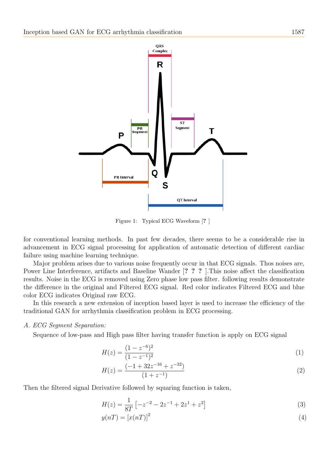

Figure 1: Typical ECG Waveform [? ]

for conventional learning methods. In past few decades, there seems to be a considerable rise in advancement in ECG signal processing for application of automatic detection of different cardiac failure using machine learning technique.

Major problem arises due to various noise frequently occur in that ECG signals. Thos noises are, Power Line Interference, artifacts and Baseline Wander [? ? ? ].This noise affect the classification results. Noise in the ECG is removed using Zero phase low pass filter. following results demonstrate the difference in the original and Filtered ECG signal. Red color indicates Filtered ECG and blue color ECG indicates Original raw ECG.

In this research a new extension of inception based layer is used to increase the efficiency of the traditional GAN for arrhythmia classification problem in ECG processing.

## A. ECG Segment Separation:

Sequence of low-pass and High pass filter having transfer function is apply on ECG signal

$$
H(z) = \frac{(1 - z^{-6})^2}{(1 - z^{-1})^2}
$$
 (1)

$$
H(z) = \frac{\left(-1 + 32z^{-16} + z^{-32}\right)}{\left(1 + z^{-1}\right)}\tag{2}
$$

Then the filtered signal Derivative followed by squaring function is taken,

$$
H(z) = \frac{1}{8T} \left[ -z^{-2} - 2z^{-1} + 2z^{1} + z^{2} \right]
$$
 (3)

$$
y(n) = [x(n)]^2 \tag{4}
$$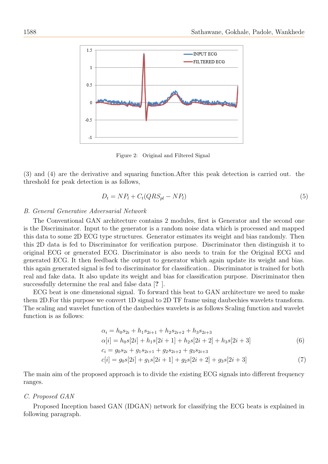

Figure 2: Original and Filtered Signal

(3) and (4) are the derivative and squaring function.After this peak detection is carried out. the threshold for peak detection is as follows,

$$
D_t = NP_l + C_t(QRS_{pl} - NP_l)
$$
\n<sup>(5)</sup>

#### B. General Generative Adversarial Network

The Conventional GAN architecture contains 2 modules, first is Generator and the second one is the Discriminator. Input to the generator is a random noise data which is processed and mapped this data to some 2D ECG type structures. Generator estimates its weight and bias randomly. Then this 2D data is fed to Discriminator for verification purpose. Discriminator then distinguish it to original ECG or generated ECG. Discriminator is also needs to train for the Original ECG and generated ECG. It then feedback the output to generator which again update its weight and bias. this again generated signal is fed to discriminator for classification.. Discriminator is trained for both real and fake data. It also update its weight and bias for classification purpose. Discriminator then successfully determine the real and false data [? ].

ECG beat is one dimensional signal. To forward this beat to GAN architecture we need to make them 2D.For this purpose we convert 1D signal to 2D TF frame using daubechies wavelets transform. The scaling and wavelet function of the daubechies wavelets is as follows Scaling function and wavelet function is as follows:

$$
\alpha_i = h_0 s_{2i} + h_1 s_{2i+1} + h_2 s_{2i+2} + h_3 s_{2i+3}
$$
  
\n
$$
\alpha[i] = h_0 s[2i] + h_1 s[2i+1] + h_2 s[2i+2] + h_3 s[2i+3]
$$
\n(6)

$$
c_i = g_0 s_{2i} + g_1 s_{2i+1} + g_2 s_{2i+2} + g_3 s_{2i+3}
$$
  
\n
$$
c[i] = g_0 s[2i] + g_1 s[2i+1] + g_2 s[2i+2] + g_3 s[2i+3]
$$
\n(7)

The main aim of the proposed approach is to divide the existing ECG signals into different frequency ranges.

#### C. Proposed GAN

Proposed Inception based GAN (IDGAN) network for classifying the ECG beats is explained in following paragraph.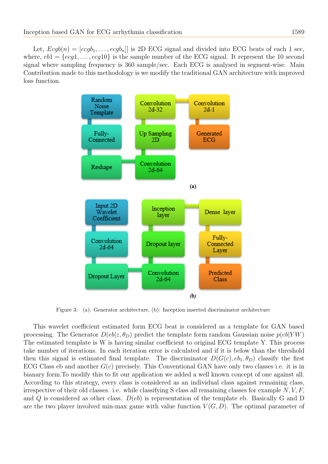loss function.



Figure 3: (a): Generator architecture, (b): Inception inserted discriminator architecture

This wavelet coefficient estimated form ECG beat is considered as a template for GAN based processing. The Generator  $D(eb|z, \theta_D)$  predict the template form random Gaussian noise  $p(eb|YW)$ The estimated template is W is having similar coefficient to original ECG template Y. This process take number of iterations. In each iteration error is calculated and if it is below than the threshold then this signal is estimated final template. The discriminator  $D(G(c), eb_1, \theta_D)$  classify the first ECG Class eb and another  $G(c)$  precisely. This Conventional GAN have only two classes i.e. it is in bianary form.To modify this to fit our application we added a well known concept of one against all. According to this strategy, every class is considered as an individual class against remaining class, irrespective of their old classes. i.e. while classifying S class all remaining classes for example  $N, V, F$ , and Q is considered as other class.  $D(eb)$  is representation of the template eb. Basically G and D are the two player involved min-max game with value function  $V(G, D)$ . The optimal parameter of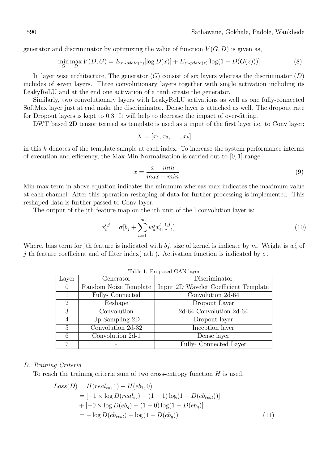generator and discriminator by optimizing the value of function  $V(G, D)$  is given as,

$$
\min_{G} \max_{D} V(D, G) = E_{x \sim pdata(x)}[\log D(x)] + E_{z \sim pdata(z)}[\log(1 - D(G(z)))] \tag{8}
$$

In layer wise architecture, The generator  $(G)$  consist of six layers whereas the discriminator  $(D)$ includes of seven layers. Three convolutionary layers together with single activation including its LeakyReLU and at the end one activation of a tanh create the generator.

Similarly, two convolutionary layers with LeakyReLU activations as well as one fully-connected SoftMax layer just at end make the discriminator. Dense layer is attached as well. The dropout rate for Dropout layers is kept to 0.3. It will help to decrease the impact of over-fitting.

DWT based 2D tensor termed as template is used as a input of the first layer i.e. to Conv layer:

$$
X = [x_1, x_2, \dots, x_k]
$$

in this  $k$  denotes of the template sample at each index. To increase the system performance interms of execution and efficiency, the Max-Min Normalization is carried out to [0, 1] range.

$$
x = \frac{x - \min}{\max - \min} \tag{9}
$$

Min-max term in above equation indicates the minimum whereas max indicates the maximum value at each channel. After this operation reshaping of data for further processing is implemented. This reshaped data is further passed to Conv layer.

The output of the jth feature map on the ith unit of the l convolution layer is:

$$
x_i^{l,j} = \sigma[b_j + \sum_{a=1}^m w_a^j x_{i+a-1}^{l-1,j}]
$$
\n(10)

Where, bias term for jth feature is indicated with  $bj$ , size of kernel is indicate by m. Weight is  $w_a^j$  of j th feature coefficient and of filter index( ath). Activation function is indicated by  $\sigma$ .

| Layer         | Generator             | Discriminator                         |  |
|---------------|-----------------------|---------------------------------------|--|
| $\theta$      | Random Noise Template | Input 2D Wavelet Coefficient Template |  |
| 1.            | Fully-Connected       | Convolution 2d-64                     |  |
| $\mathcal{D}$ | Reshape               | Dropout Layer                         |  |
| 3             | Convolution           | 2d-64 Convolution 2d-64               |  |
| 4             | Up Sampling 2D        | Dropout layer                         |  |
| 5             | Convolution 2d-32     | Inception layer                       |  |
| 6             | Convolution 2d-1      | Dense layer                           |  |
|               |                       | Fully-Connected Layer                 |  |

Table 1: Proposed GAN layer

#### D. Training Criteria

To reach the training criteria sum of two cross-entropy function  $H$  is used,

$$
Loss(D) = H(real_{eb}, 1) + H(eb_1, 0)
$$
  
= [-1 × log D(real\_{eb}) - (1 – 1) log(1 – D(eb\_{real}))]  
+ [-0 × log D(eb<sub>g</sub>) - (1 – 0) log(1 – D(eb<sub>g</sub>))]  
= - log D(eb\_{real}) - log(1 – D(eb<sub>g</sub>)) (11)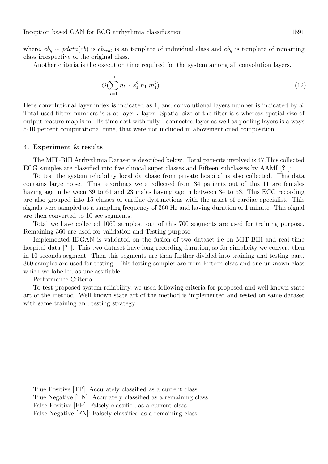where,  $eb_g \sim pdata(eb)$  is  $eb_{real}$  is an template of individual class and  $eb_g$  is template of remaining class irrespective of the original class.

Another criteria is the execution time required for the system among all convolution layers.

$$
O(\sum_{l=1}^{d} n_{l-1}.s_1^2.n_1.m_1^2) \tag{12}
$$

Here convolutional layer index is indicated as 1, and convolutional layers number is indicated by d. Total used filters numbers is n at layer  $l$  layer. Spatial size of the filter is s whereas spatial size of output feature map is m. Its time cost with fully - connected layer as well as pooling layers is always 5-10 percent computational time, that were not included in abovementioned composition.

#### 4. Experiment & results

The MIT-BIH Arrhythmia Dataset is described below. Total patients involved is 47.This collected ECG samples are classified into five clinical super classes and Fifteen subclasses by AAMI [? ];

To test the system reliability local database from private hospital is also collected. This data contains large noise. This recordings were collected from 34 patients out of this 11 are females having age in between 39 to 61 and 23 males having age in between 34 to 53. This ECG recording are also grouped into 15 classes of cardiac dysfunctions with the assist of cardiac specialist. This signals were sampled at a sampling frequency of 360 Hz and having duration of 1 minute. This signal are then converted to 10 sec segments.

Total we have collected 1060 samples. out of this 700 segments are used for training purpose. Remaining 360 are used for validation and Testing purpose.

Implemented IDGAN is validated on the fusion of two dataset i.e on MIT-BIH and real time hospital data [? ]. This two dataset have long recording duration, so for simplicity we convert then in 10 seconds segment. Then this segments are then further divided into training and testing part. 360 samples are used for testing. This testing samples are from Fifteen class and one unknown class which we labelled as unclassifiable.

Performance Criteria:

To test proposed system reliability, we used following criteria for proposed and well known state art of the method. Well known state art of the method is implemented and tested on same dataset with same training and testing strategy.

True Positive [TP]: Accurately classified as a current class

True Negative [TN]: Accurately classified as a remaining class

False Positive [FP]: Falsely classified as a current class

False Negative [FN]: Falsely classified as a remaining class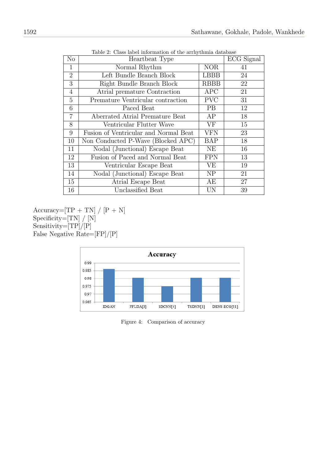| N <sub>o</sub> | тарке 2. Сказ карст ппогикалон от активатно антика адларазе<br>Heartbeat Type |                | ECG Signal |
|----------------|-------------------------------------------------------------------------------|----------------|------------|
| 1              | Normal Rhythm                                                                 | <b>NOR</b>     | 41         |
| $\overline{2}$ | Left Bundle Branch Block                                                      | LBBB           | 24         |
| 3              | Right Bundle Branch Block                                                     | <b>RBBB</b>    | 22         |
| $\overline{4}$ | Atrial premature Contraction                                                  | APC            | 21         |
| $\overline{5}$ | Premature Ventricular contraction                                             | <b>PVC</b>     | 31         |
| 6              | Paced Beat                                                                    | <b>PB</b>      | 12         |
| 7              | Aberrated Atrial Premature Beat                                               | AP             | 18         |
| 8              | Ventricular Flutter Wave                                                      | VF             | 15         |
| 9              | Fusion of Ventricular and Normal Beat                                         | <b>VFN</b>     | 23         |
| 10             | Non Conducted P-Wave (Blocked APC)                                            | <b>BAP</b>     | 18         |
| 11             | Nodal (Junctional) Escape Beat                                                | NE             | 16         |
| 12             | Fusion of Paced and Normal Beat                                               | FPN            | 13         |
| 13             | Ventricular Escape Beat                                                       | VE             | 19         |
| 14             | Nodal (Junctional) Escape Beat                                                | N <sub>P</sub> | 21         |
| 15             | Atrial Escape Beat                                                            | AЕ             | 27         |
| 16             | Unclassified Beat                                                             | UN             | 39         |

Table 2: Class label information of the arrhythmia database

Accuracy=[TP + TN] /  $[P + N]$ Specificity=[TN] / [N] Sensitivity=[TP]/[P] False Negative Rate=[FP]/[P]



Figure 4: Comparison of accuracy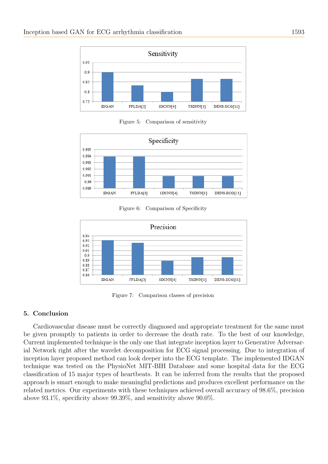

Figure 5: Comparison of sensitivity



Figure 6: Comparison of Specificity



Figure 7: Comparison classes of precision

## 5. Conclusion

Cardiovascular disease must be correctly diagnosed and appropriate treatment for the same must be given promptly to patients in order to decrease the death rate. To the best of our knowledge, Current implemented technique is the only one that integrate inception layer to Generative Adversarial Network right after the wavelet decomposition for ECG signal processing. Due to integration of inception layer proposed method can look deeper into the ECG template. The implemented IDGAN technique was tested on the PhysioNet MIT-BIH Database and some hospital data for the ECG classification of 15 major types of heartbeats. It can be inferred from the results that the proposed approach is smart enough to make meaningful predictions and produces excellent performance on the related metrics. Our experiments with these techniques achieved overall accuracy of 98.6%, precision above 93.1%, specificity above 99.39%, and sensitivity above 90.0%.